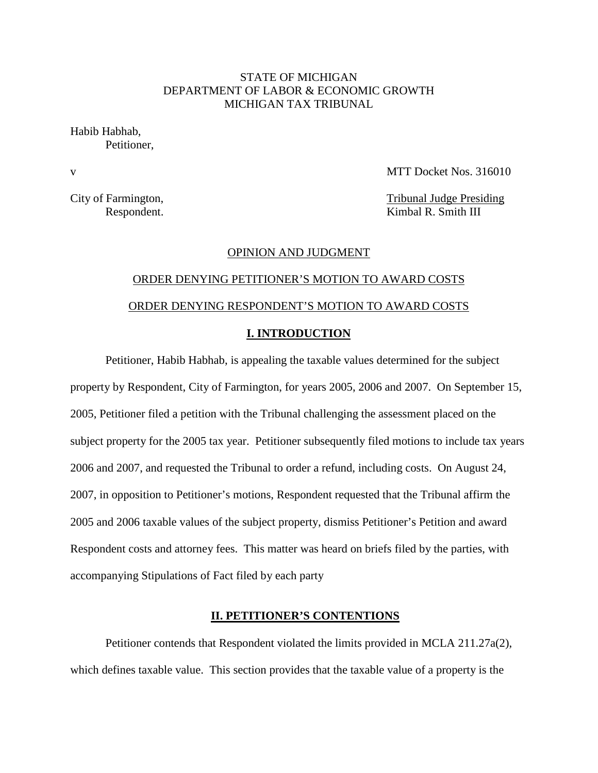## STATE OF MICHIGAN DEPARTMENT OF LABOR & ECONOMIC GROWTH MICHIGAN TAX TRIBUNAL

Habib Habhab, Petitioner,

v MTT Docket Nos. 316010

City of Farmington, Tribunal Judge Presiding Respondent. Kimbal R. Smith III

## OPINION AND JUDGMENT

# ORDER DENYING PETITIONER'S MOTION TO AWARD COSTS ORDER DENYING RESPONDENT'S MOTION TO AWARD COSTS **I. INTRODUCTION**

Petitioner, Habib Habhab, is appealing the taxable values determined for the subject property by Respondent, City of Farmington, for years 2005, 2006 and 2007. On September 15, 2005, Petitioner filed a petition with the Tribunal challenging the assessment placed on the subject property for the 2005 tax year. Petitioner subsequently filed motions to include tax years 2006 and 2007, and requested the Tribunal to order a refund, including costs. On August 24, 2007, in opposition to Petitioner's motions, Respondent requested that the Tribunal affirm the 2005 and 2006 taxable values of the subject property, dismiss Petitioner's Petition and award Respondent costs and attorney fees. This matter was heard on briefs filed by the parties, with accompanying Stipulations of Fact filed by each party

## **II. PETITIONER'S CONTENTIONS**

Petitioner contends that Respondent violated the limits provided in MCLA 211.27a(2), which defines taxable value. This section provides that the taxable value of a property is the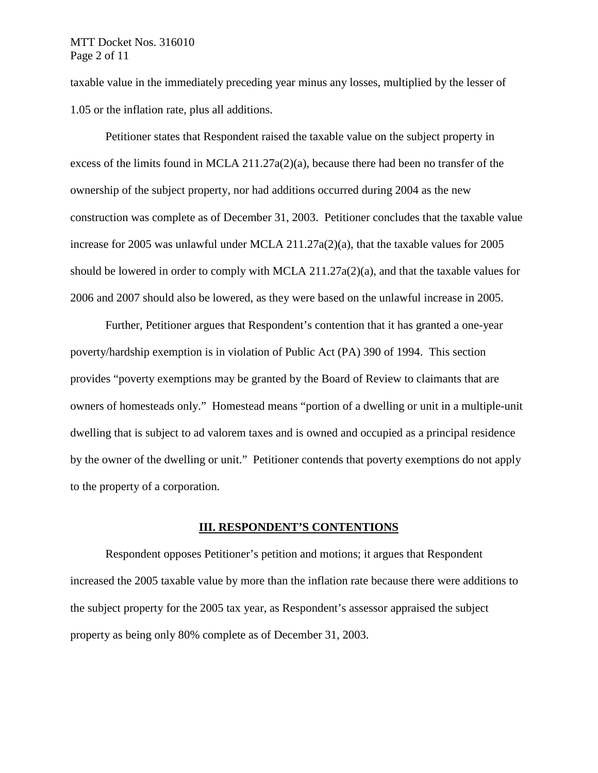## MTT Docket Nos. 316010 Page 2 of 11

taxable value in the immediately preceding year minus any losses, multiplied by the lesser of 1.05 or the inflation rate, plus all additions.

Petitioner states that Respondent raised the taxable value on the subject property in excess of the limits found in MCLA 211.27a(2)(a), because there had been no transfer of the ownership of the subject property, nor had additions occurred during 2004 as the new construction was complete as of December 31, 2003. Petitioner concludes that the taxable value increase for 2005 was unlawful under MCLA 211.27a(2)(a), that the taxable values for 2005 should be lowered in order to comply with MCLA 211.27a(2)(a), and that the taxable values for 2006 and 2007 should also be lowered, as they were based on the unlawful increase in 2005.

Further, Petitioner argues that Respondent's contention that it has granted a one-year poverty/hardship exemption is in violation of Public Act (PA) 390 of 1994. This section provides "poverty exemptions may be granted by the Board of Review to claimants that are owners of homesteads only." Homestead means "portion of a dwelling or unit in a multiple-unit dwelling that is subject to ad valorem taxes and is owned and occupied as a principal residence by the owner of the dwelling or unit." Petitioner contends that poverty exemptions do not apply to the property of a corporation.

## **III. RESPONDENT'S CONTENTIONS**

Respondent opposes Petitioner's petition and motions; it argues that Respondent increased the 2005 taxable value by more than the inflation rate because there were additions to the subject property for the 2005 tax year, as Respondent's assessor appraised the subject property as being only 80% complete as of December 31, 2003.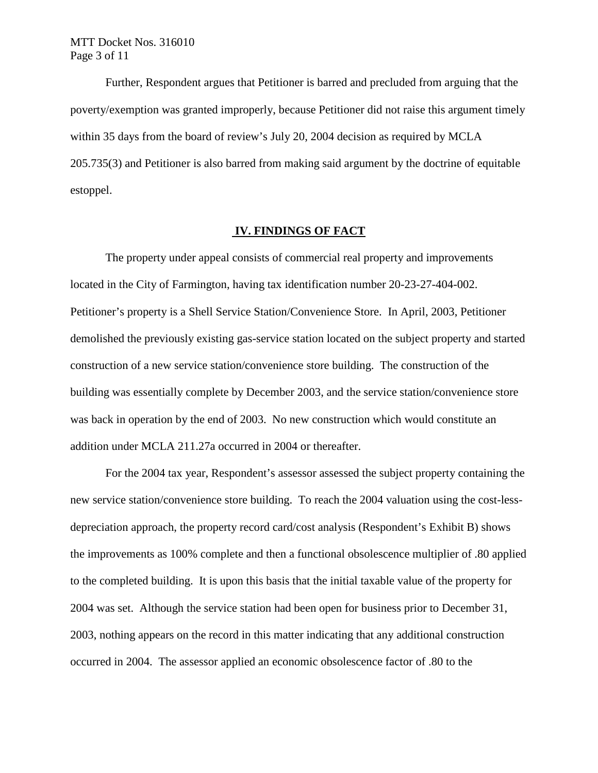Further, Respondent argues that Petitioner is barred and precluded from arguing that the poverty/exemption was granted improperly, because Petitioner did not raise this argument timely within 35 days from the board of review's July 20, 2004 decision as required by MCLA 205.735(3) and Petitioner is also barred from making said argument by the doctrine of equitable estoppel.

## **IV. FINDINGS OF FACT**

The property under appeal consists of commercial real property and improvements located in the City of Farmington, having tax identification number 20-23-27-404-002. Petitioner's property is a Shell Service Station/Convenience Store. In April, 2003, Petitioner demolished the previously existing gas-service station located on the subject property and started construction of a new service station/convenience store building. The construction of the building was essentially complete by December 2003, and the service station/convenience store was back in operation by the end of 2003. No new construction which would constitute an addition under MCLA 211.27a occurred in 2004 or thereafter.

For the 2004 tax year, Respondent's assessor assessed the subject property containing the new service station/convenience store building. To reach the 2004 valuation using the cost-lessdepreciation approach, the property record card/cost analysis (Respondent's Exhibit B) shows the improvements as 100% complete and then a functional obsolescence multiplier of .80 applied to the completed building. It is upon this basis that the initial taxable value of the property for 2004 was set. Although the service station had been open for business prior to December 31, 2003, nothing appears on the record in this matter indicating that any additional construction occurred in 2004. The assessor applied an economic obsolescence factor of .80 to the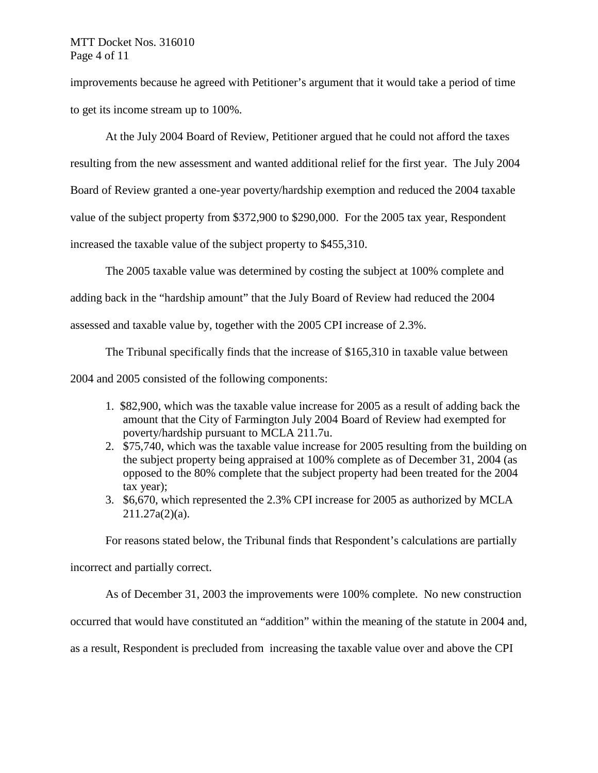## MTT Docket Nos. 316010 Page 4 of 11

improvements because he agreed with Petitioner's argument that it would take a period of time to get its income stream up to 100%.

At the July 2004 Board of Review, Petitioner argued that he could not afford the taxes resulting from the new assessment and wanted additional relief for the first year. The July 2004 Board of Review granted a one-year poverty/hardship exemption and reduced the 2004 taxable value of the subject property from \$372,900 to \$290,000. For the 2005 tax year, Respondent increased the taxable value of the subject property to \$455,310.

The 2005 taxable value was determined by costing the subject at 100% complete and

adding back in the "hardship amount" that the July Board of Review had reduced the 2004

assessed and taxable value by, together with the 2005 CPI increase of 2.3%.

The Tribunal specifically finds that the increase of \$165,310 in taxable value between

2004 and 2005 consisted of the following components:

- 1. \$82,900, which was the taxable value increase for 2005 as a result of adding back the amount that the City of Farmington July 2004 Board of Review had exempted for poverty/hardship pursuant to MCLA 211.7u.
- 2. \$75,740, which was the taxable value increase for 2005 resulting from the building on the subject property being appraised at 100% complete as of December 31, 2004 (as opposed to the 80% complete that the subject property had been treated for the 2004 tax year);
- 3. \$6,670, which represented the 2.3% CPI increase for 2005 as authorized by MCLA 211.27a(2)(a).

For reasons stated below, the Tribunal finds that Respondent's calculations are partially

incorrect and partially correct.

As of December 31, 2003 the improvements were 100% complete. No new construction

occurred that would have constituted an "addition" within the meaning of the statute in 2004 and,

as a result, Respondent is precluded from increasing the taxable value over and above the CPI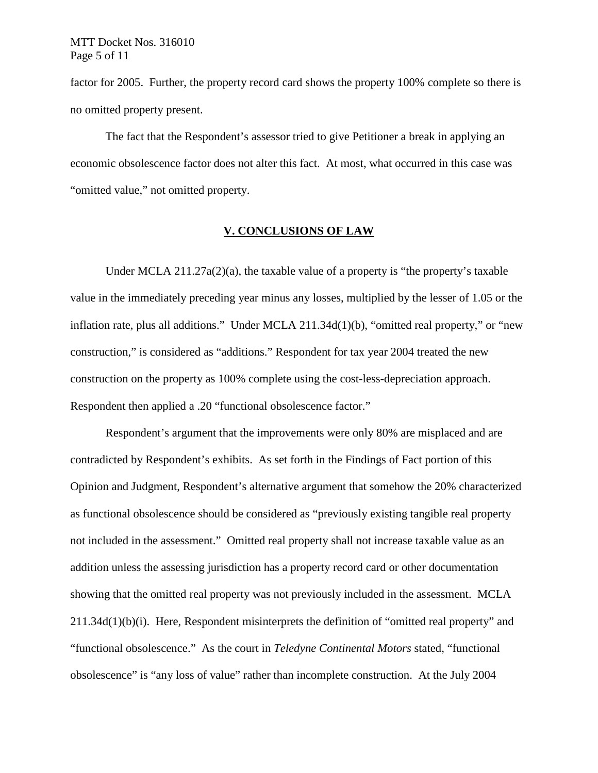factor for 2005. Further, the property record card shows the property 100% complete so there is no omitted property present.

The fact that the Respondent's assessor tried to give Petitioner a break in applying an economic obsolescence factor does not alter this fact. At most, what occurred in this case was "omitted value," not omitted property.

## **V. CONCLUSIONS OF LAW**

Under MCLA 211.27a(2)(a), the taxable value of a property is "the property's taxable value in the immediately preceding year minus any losses, multiplied by the lesser of 1.05 or the inflation rate, plus all additions." Under MCLA 211.34d(1)(b), "omitted real property," or "new construction," is considered as "additions." Respondent for tax year 2004 treated the new construction on the property as 100% complete using the cost-less-depreciation approach. Respondent then applied a .20 "functional obsolescence factor."

Respondent's argument that the improvements were only 80% are misplaced and are contradicted by Respondent's exhibits. As set forth in the Findings of Fact portion of this Opinion and Judgment, Respondent's alternative argument that somehow the 20% characterized as functional obsolescence should be considered as "previously existing tangible real property not included in the assessment." Omitted real property shall not increase taxable value as an addition unless the assessing jurisdiction has a property record card or other documentation showing that the omitted real property was not previously included in the assessment. MCLA 211.34d(1)(b)(i). Here, Respondent misinterprets the definition of "omitted real property" and "functional obsolescence." As the court in *Teledyne Continental Motors* stated, "functional obsolescence" is "any loss of value" rather than incomplete construction. At the July 2004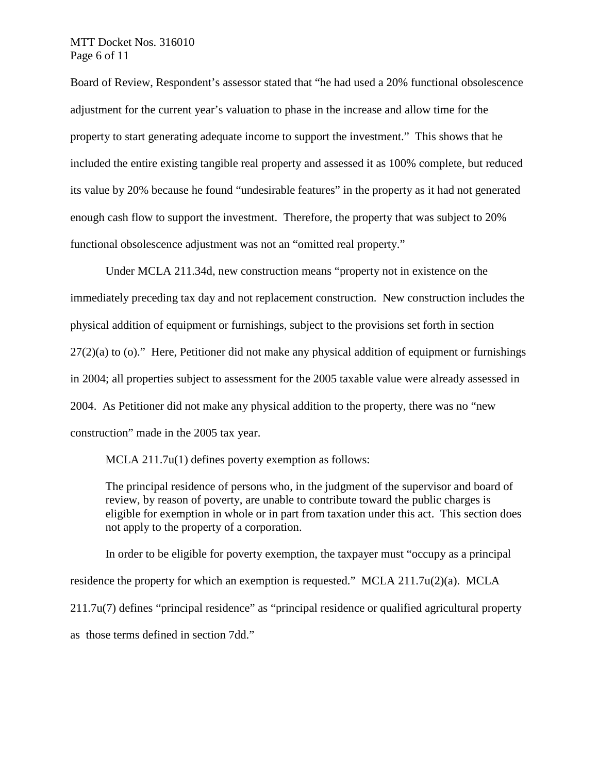## MTT Docket Nos. 316010 Page 6 of 11

Board of Review, Respondent's assessor stated that "he had used a 20% functional obsolescence adjustment for the current year's valuation to phase in the increase and allow time for the property to start generating adequate income to support the investment." This shows that he included the entire existing tangible real property and assessed it as 100% complete, but reduced its value by 20% because he found "undesirable features" in the property as it had not generated enough cash flow to support the investment. Therefore, the property that was subject to 20% functional obsolescence adjustment was not an "omitted real property."

Under MCLA 211.34d, new construction means "property not in existence on the immediately preceding tax day and not replacement construction. New construction includes the physical addition of equipment or furnishings, subject to the provisions set forth in section  $27(2)(a)$  to (o)." Here, Petitioner did not make any physical addition of equipment or furnishings in 2004; all properties subject to assessment for the 2005 taxable value were already assessed in 2004. As Petitioner did not make any physical addition to the property, there was no "new construction" made in the 2005 tax year.

MCLA 211.7u(1) defines poverty exemption as follows:

The principal residence of persons who, in the judgment of the supervisor and board of review, by reason of poverty, are unable to contribute toward the public charges is eligible for exemption in whole or in part from taxation under this act. This section does not apply to the property of a corporation.

In order to be eligible for poverty exemption, the taxpayer must "occupy as a principal residence the property for which an exemption is requested." MCLA 211.7u(2)(a). MCLA 211.7u(7) defines "principal residence" as "principal residence or qualified agricultural property as those terms defined in section 7dd."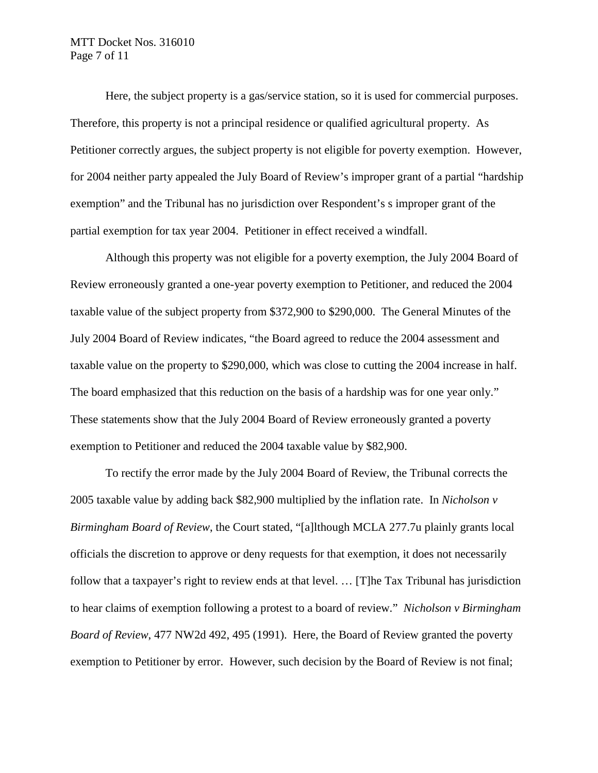## MTT Docket Nos. 316010 Page 7 of 11

Here, the subject property is a gas/service station, so it is used for commercial purposes. Therefore, this property is not a principal residence or qualified agricultural property. As Petitioner correctly argues, the subject property is not eligible for poverty exemption. However, for 2004 neither party appealed the July Board of Review's improper grant of a partial "hardship exemption" and the Tribunal has no jurisdiction over Respondent's s improper grant of the partial exemption for tax year 2004. Petitioner in effect received a windfall.

Although this property was not eligible for a poverty exemption, the July 2004 Board of Review erroneously granted a one-year poverty exemption to Petitioner, and reduced the 2004 taxable value of the subject property from \$372,900 to \$290,000. The General Minutes of the July 2004 Board of Review indicates, "the Board agreed to reduce the 2004 assessment and taxable value on the property to \$290,000, which was close to cutting the 2004 increase in half. The board emphasized that this reduction on the basis of a hardship was for one year only." These statements show that the July 2004 Board of Review erroneously granted a poverty exemption to Petitioner and reduced the 2004 taxable value by \$82,900.

To rectify the error made by the July 2004 Board of Review, the Tribunal corrects the 2005 taxable value by adding back \$82,900 multiplied by the inflation rate. In *Nicholson v Birmingham Board of Review*, the Court stated, "[a]lthough MCLA 277.7u plainly grants local officials the discretion to approve or deny requests for that exemption, it does not necessarily follow that a taxpayer's right to review ends at that level. … [T]he Tax Tribunal has jurisdiction to hear claims of exemption following a protest to a board of review." *Nicholson v Birmingham Board of Review*, 477 NW2d 492, 495 (1991). Here, the Board of Review granted the poverty exemption to Petitioner by error. However, such decision by the Board of Review is not final;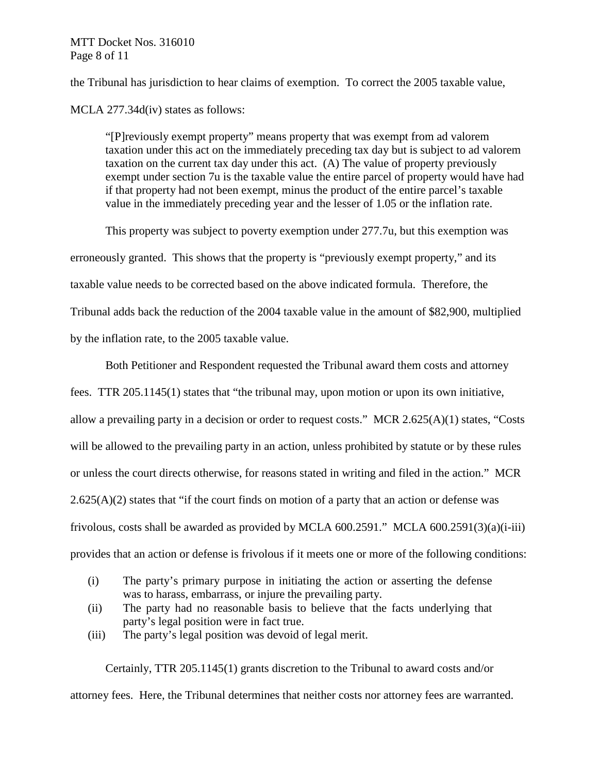## MTT Docket Nos. 316010 Page 8 of 11

the Tribunal has jurisdiction to hear claims of exemption. To correct the 2005 taxable value,

MCLA 277.34d(iv) states as follows:

"[P]reviously exempt property" means property that was exempt from ad valorem taxation under this act on the immediately preceding tax day but is subject to ad valorem taxation on the current tax day under this act. (A) The value of property previously exempt under section 7u is the taxable value the entire parcel of property would have had if that property had not been exempt, minus the product of the entire parcel's taxable value in the immediately preceding year and the lesser of 1.05 or the inflation rate.

This property was subject to poverty exemption under 277.7u, but this exemption was erroneously granted. This shows that the property is "previously exempt property," and its taxable value needs to be corrected based on the above indicated formula. Therefore, the Tribunal adds back the reduction of the 2004 taxable value in the amount of \$82,900, multiplied by the inflation rate, to the 2005 taxable value.

Both Petitioner and Respondent requested the Tribunal award them costs and attorney fees. TTR 205.1145(1) states that "the tribunal may, upon motion or upon its own initiative, allow a prevailing party in a decision or order to request costs." MCR 2.625(A)(1) states, "Costs will be allowed to the prevailing party in an action, unless prohibited by statute or by these rules or unless the court directs otherwise, for reasons stated in writing and filed in the action." MCR  $2.625(A)(2)$  states that "if the court finds on motion of a party that an action or defense was frivolous, costs shall be awarded as provided by MCLA 600.2591." MCLA 600.2591(3)(a)(i-iii) provides that an action or defense is frivolous if it meets one or more of the following conditions:

- (i) The party's primary purpose in initiating the action or asserting the defense was to harass, embarrass, or injure the prevailing party.
- (ii) The party had no reasonable basis to believe that the facts underlying that party's legal position were in fact true.
- (iii) The party's legal position was devoid of legal merit.

Certainly, TTR 205.1145(1) grants discretion to the Tribunal to award costs and/or attorney fees. Here, the Tribunal determines that neither costs nor attorney fees are warranted.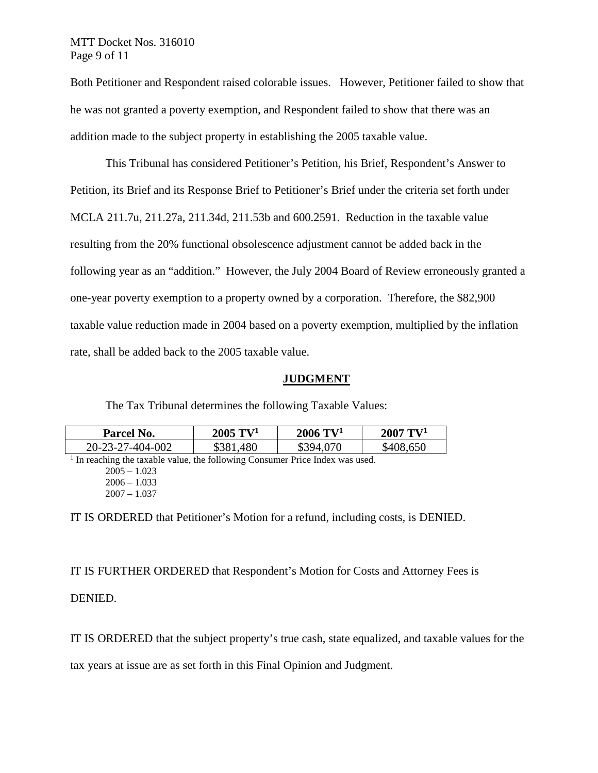## MTT Docket Nos. 316010 Page 9 of 11

Both Petitioner and Respondent raised colorable issues. However, Petitioner failed to show that he was not granted a poverty exemption, and Respondent failed to show that there was an addition made to the subject property in establishing the 2005 taxable value.

This Tribunal has considered Petitioner's Petition, his Brief, Respondent's Answer to Petition, its Brief and its Response Brief to Petitioner's Brief under the criteria set forth under MCLA 211.7u, 211.27a, 211.34d, 211.53b and 600.2591. Reduction in the taxable value resulting from the 20% functional obsolescence adjustment cannot be added back in the following year as an "addition." However, the July 2004 Board of Review erroneously granted a one-year poverty exemption to a property owned by a corporation. Therefore, the \$82,900 taxable value reduction made in 2004 based on a poverty exemption, multiplied by the inflation rate, shall be added back to the 2005 taxable value.

## **JUDGMENT**

The Tax Tribunal determines the following Taxable Values:

| Parcel No.       | $2005 \text{ TV}^1$ | $2006 \; {\rm TV^1}$ | $2007 \text{ T} V^1$ |
|------------------|---------------------|----------------------|----------------------|
| 20-23-27-404-002 | \$381,480           | \$394,070            | \$408,650            |

<sup>1</sup> In reaching the taxable value, the following Consumer Price Index was used.  $2005 - 1.023$ 

IT IS ORDERED that Petitioner's Motion for a refund, including costs, is DENIED.

IT IS FURTHER ORDERED that Respondent's Motion for Costs and Attorney Fees is

DENIED.

IT IS ORDERED that the subject property's true cash, state equalized, and taxable values for the

tax years at issue are as set forth in this Final Opinion and Judgment.

 $2006 - 1.033$ 2007 – 1.037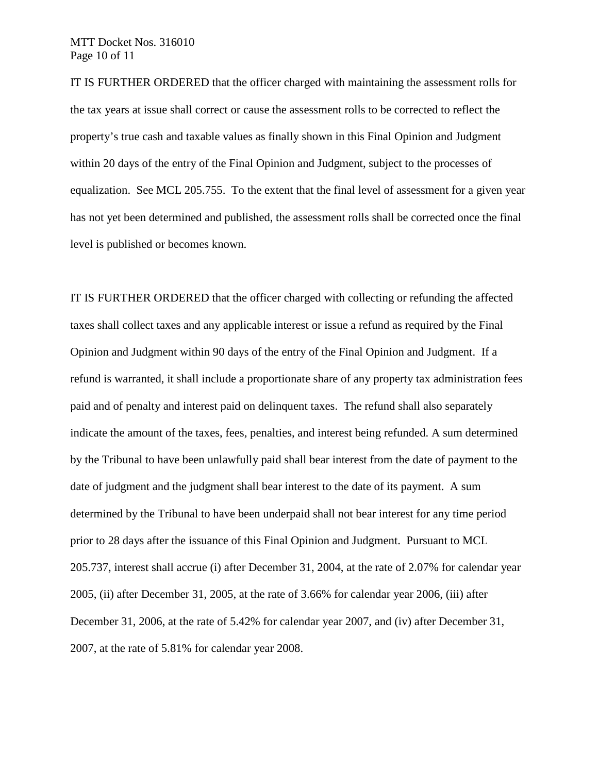## MTT Docket Nos. 316010 Page 10 of 11

IT IS FURTHER ORDERED that the officer charged with maintaining the assessment rolls for the tax years at issue shall correct or cause the assessment rolls to be corrected to reflect the property's true cash and taxable values as finally shown in this Final Opinion and Judgment within 20 days of the entry of the Final Opinion and Judgment, subject to the processes of equalization. See MCL 205.755. To the extent that the final level of assessment for a given year has not yet been determined and published, the assessment rolls shall be corrected once the final level is published or becomes known.

IT IS FURTHER ORDERED that the officer charged with collecting or refunding the affected taxes shall collect taxes and any applicable interest or issue a refund as required by the Final Opinion and Judgment within 90 days of the entry of the Final Opinion and Judgment. If a refund is warranted, it shall include a proportionate share of any property tax administration fees paid and of penalty and interest paid on delinquent taxes. The refund shall also separately indicate the amount of the taxes, fees, penalties, and interest being refunded. A sum determined by the Tribunal to have been unlawfully paid shall bear interest from the date of payment to the date of judgment and the judgment shall bear interest to the date of its payment. A sum determined by the Tribunal to have been underpaid shall not bear interest for any time period prior to 28 days after the issuance of this Final Opinion and Judgment. Pursuant to MCL 205.737, interest shall accrue (i) after December 31, 2004, at the rate of 2.07% for calendar year 2005, (ii) after December 31, 2005, at the rate of 3.66% for calendar year 2006, (iii) after December 31, 2006, at the rate of 5.42% for calendar year 2007, and (iv) after December 31, 2007, at the rate of 5.81% for calendar year 2008.